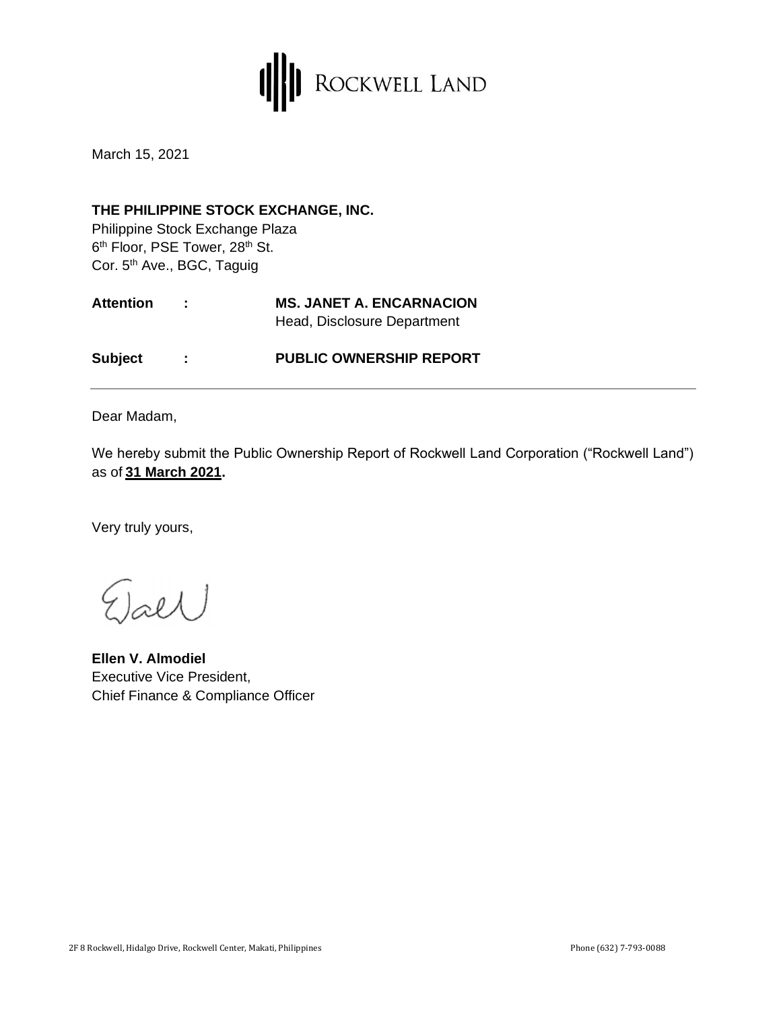

March 15, 2021

## **THE PHILIPPINE STOCK EXCHANGE, INC.**

Philippine Stock Exchange Plaza 6<sup>th</sup> Floor, PSE Tower, 28<sup>th</sup> St. Cor. 5<sup>th</sup> Ave., BGC, Taguig

| <b>Attention</b> | in British | <b>MS. JANET A. ENCARNACION</b> |
|------------------|------------|---------------------------------|
|                  |            | Head, Disclosure Department     |
| <b>Subject</b>   | . .        | <b>PUBLIC OWNERSHIP REPORT</b>  |

Dear Madam,

We hereby submit the Public Ownership Report of Rockwell Land Corporation ("Rockwell Land") as of **31 March 2021.** 

Very truly yours,

 $_{\text{refl}}$ 

**Ellen V. Almodiel** Executive Vice President, Chief Finance & Compliance Officer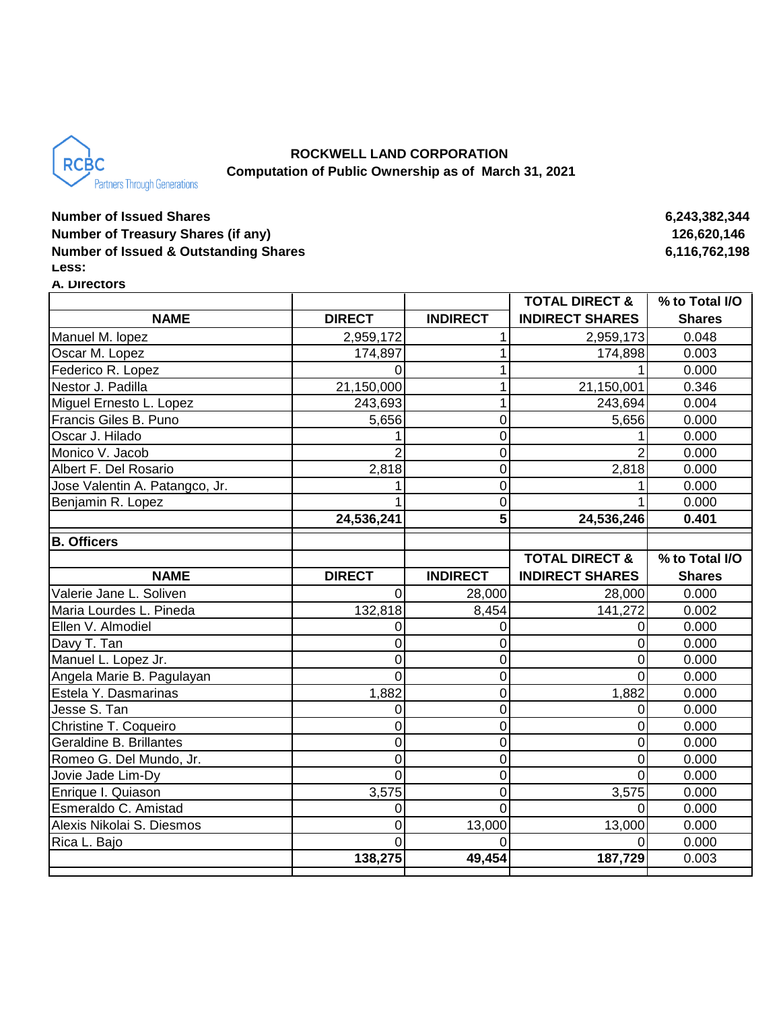

# **ROCKWELL LAND CORPORATION Computation of Public Ownership as of March 31, 2021**

# **Number of Issued Shares 6,243,382,344 Number of Treasury Shares (if any)** 126,620,146 **Number of Issued & Outstanding Shares 6,116,762,198 Less:**

#### **A. Directors**

|                                |               |                 | <b>TOTAL DIRECT &amp;</b> | % to Total I/O |
|--------------------------------|---------------|-----------------|---------------------------|----------------|
| <b>NAME</b>                    | <b>DIRECT</b> | <b>INDIRECT</b> | <b>INDIRECT SHARES</b>    | <b>Shares</b>  |
| Manuel M. lopez                | 2,959,172     |                 | 2,959,173                 | 0.048          |
| Oscar M. Lopez                 | 174,897       | 1               | 174,898                   | 0.003          |
| Federico R. Lopez              | U             | 1               |                           | 0.000          |
| Nestor J. Padilla              | 21,150,000    | 1               | 21,150,001                | 0.346          |
| Miguel Ernesto L. Lopez        | 243,693       | 1               | 243,694                   | 0.004          |
| Francis Giles B. Puno          | 5,656         | $\pmb{0}$       | 5,656                     | 0.000          |
| Oscar J. Hilado                |               | 0               |                           | 0.000          |
| Monico V. Jacob                |               | 0               |                           | 0.000          |
| Albert F. Del Rosario          | 2,818         | 0               | 2,818                     | 0.000          |
| Jose Valentin A. Patangco, Jr. |               | $\overline{0}$  |                           | 0.000          |
| Benjamin R. Lopez              |               | 0               |                           | 0.000          |
|                                | 24,536,241    | 5               | 24,536,246                | 0.401          |
| <b>B. Officers</b>             |               |                 |                           |                |
|                                |               |                 | <b>TOTAL DIRECT &amp;</b> | % to Total I/O |
| <b>NAME</b>                    | <b>DIRECT</b> | <b>INDIRECT</b> | <b>INDIRECT SHARES</b>    | <b>Shares</b>  |
| Valerie Jane L. Soliven        | 0             | 28,000          | 28,000                    | 0.000          |
| Maria Lourdes L. Pineda        | 132,818       | 8,454           | 141,272                   | 0.002          |
| Ellen V. Almodiel              |               | 0               | $\mathbf 0$               | 0.000          |
| Davy T. Tan                    | 0             | 0               | $\mathbf 0$               | 0.000          |
| Manuel L. Lopez Jr.            | 0             | $\mathbf 0$     | $\Omega$                  | 0.000          |
| Angela Marie B. Pagulayan      | 0             | 0               | $\Omega$                  | 0.000          |
| Estela Y. Dasmarinas           | 1,882         | 0               | 1,882                     | 0.000          |
| Jesse S. Tan                   | 0             | 0               | $\Omega$                  | 0.000          |
| Christine T. Coqueiro          | 0             | $\mathbf 0$     | $\Omega$                  | 0.000          |
| Geraldine B. Brillantes        | 0             | $\mathbf 0$     | $\Omega$                  | 0.000          |
| Romeo G. Del Mundo, Jr.        | 0             | 0               | 0                         | 0.000          |
| Jovie Jade Lim-Dy              | 0             | $\mathbf 0$     | $\Omega$                  | 0.000          |
| Enrique I. Quiason             | 3,575         | 0               | 3,575                     | 0.000          |
| Esmeraldo C. Amistad           | 0             | 0               | $\Omega$                  | 0.000          |
| Alexis Nikolai S. Diesmos      | 0             | 13,000          | 13,000                    | 0.000          |
| Rica L. Bajo                   | $\Omega$      | 0               | $\Omega$                  | 0.000          |
|                                | 138,275       | 49,454          | 187,729                   | 0.003          |
|                                |               |                 |                           |                |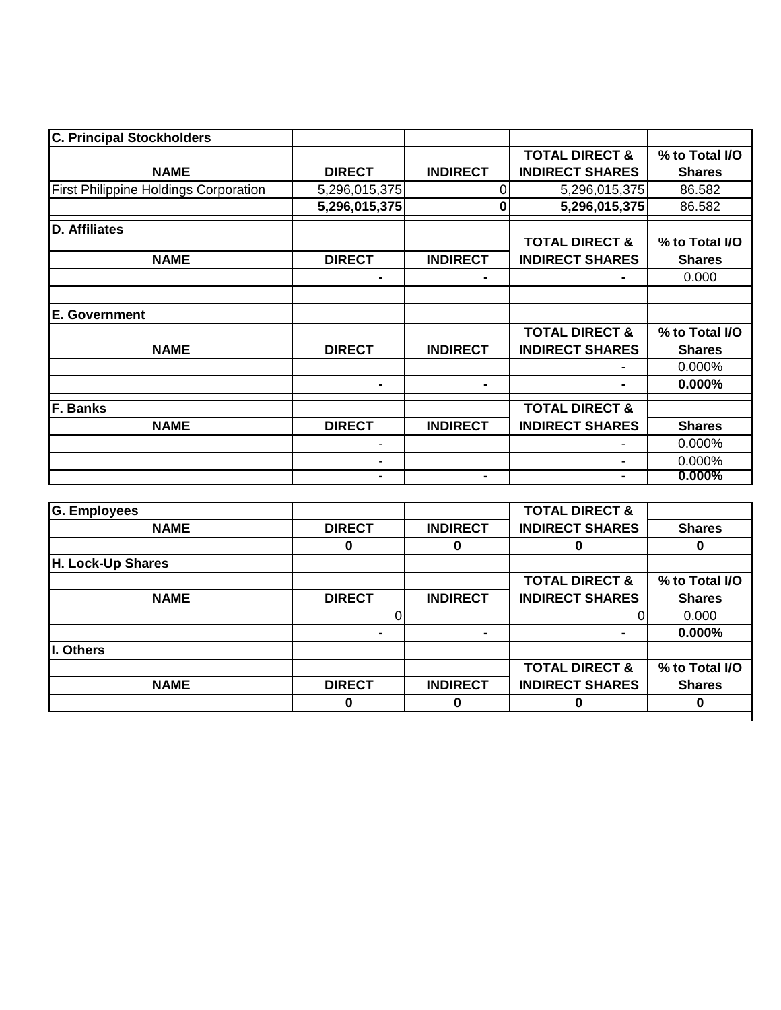| <b>C. Principal Stockholders</b>             |               |                 |                           |                |
|----------------------------------------------|---------------|-----------------|---------------------------|----------------|
|                                              |               |                 | <b>TOTAL DIRECT &amp;</b> | % to Total I/O |
| <b>NAME</b>                                  | <b>DIRECT</b> | <b>INDIRECT</b> | <b>INDIRECT SHARES</b>    | <b>Shares</b>  |
| <b>First Philippine Holdings Corporation</b> | 5,296,015,375 | 0               | 5,296,015,375             | 86.582         |
|                                              | 5,296,015,375 | 0               | 5,296,015,375             | 86.582         |
| <b>D.</b> Affiliates                         |               |                 |                           |                |
|                                              |               |                 | TOTAL DIRECT &            | % to Total I/O |
| <b>NAME</b>                                  | <b>DIRECT</b> | <b>INDIRECT</b> | <b>INDIRECT SHARES</b>    | <b>Shares</b>  |
|                                              |               |                 |                           | 0.000          |
|                                              |               |                 |                           |                |
| <b>E. Government</b>                         |               |                 |                           |                |
|                                              |               |                 | <b>TOTAL DIRECT &amp;</b> | % to Total I/O |
| <b>NAME</b>                                  | <b>DIRECT</b> | <b>INDIRECT</b> | <b>INDIRECT SHARES</b>    | <b>Shares</b>  |
|                                              |               |                 |                           | 0.000%         |
|                                              | ۰             | $\blacksquare$  |                           | $0.000\%$      |
| F. Banks                                     |               |                 | <b>TOTAL DIRECT &amp;</b> |                |
| <b>NAME</b>                                  | <b>DIRECT</b> | <b>INDIRECT</b> | <b>INDIRECT SHARES</b>    | <b>Shares</b>  |
|                                              | -             |                 |                           | 0.000%         |
|                                              | ۰             |                 | $\overline{\phantom{0}}$  | 0.000%         |
|                                              |               | $\blacksquare$  |                           | $0.000\%$      |

| G. Employees      |               |                 | <b>TOTAL DIRECT &amp;</b> |                |
|-------------------|---------------|-----------------|---------------------------|----------------|
| <b>NAME</b>       | <b>DIRECT</b> | <b>INDIRECT</b> | <b>INDIRECT SHARES</b>    | <b>Shares</b>  |
|                   | 0             |                 |                           |                |
| H. Lock-Up Shares |               |                 |                           |                |
|                   |               |                 | <b>TOTAL DIRECT &amp;</b> | % to Total I/O |
| <b>NAME</b>       | <b>DIRECT</b> | <b>INDIRECT</b> | <b>INDIRECT SHARES</b>    | <b>Shares</b>  |
|                   |               |                 |                           | 0.000          |
|                   |               | $\blacksquare$  |                           | 0.000%         |
| I. Others         |               |                 |                           |                |
|                   |               |                 | <b>TOTAL DIRECT &amp;</b> | % to Total I/O |
| <b>NAME</b>       | <b>DIRECT</b> | <b>INDIRECT</b> | <b>INDIRECT SHARES</b>    | <b>Shares</b>  |
|                   | 0             |                 | 0                         |                |
|                   |               |                 |                           |                |